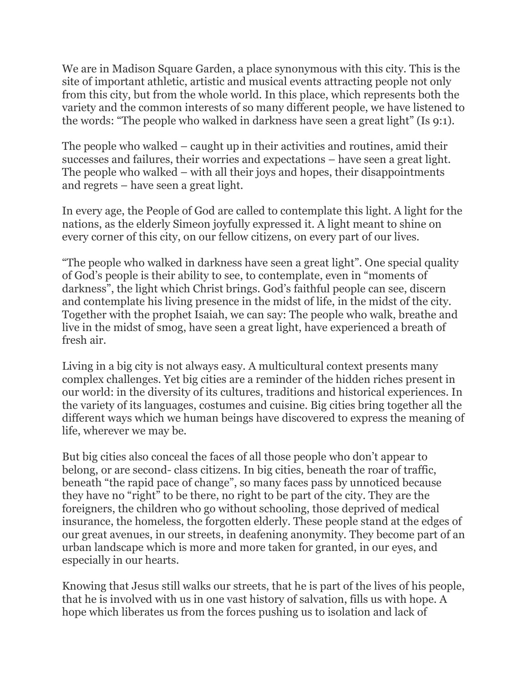We are in Madison Square Garden, a place synonymous with this city. This is the site of important athletic, artistic and musical events attracting people not only from this city, but from the whole world. In this place, which represents both the variety and the common interests of so many different people, we have listened to the words: "The people who walked in darkness have seen a great light" (Is 9:1).

The people who walked – caught up in their activities and routines, amid their successes and failures, their worries and expectations – have seen a great light. The people who walked – with all their joys and hopes, their disappointments and regrets – have seen a great light.

In every age, the People of God are called to contemplate this light. A light for the nations, as the elderly Simeon joyfully expressed it. A light meant to shine on every corner of this city, on our fellow citizens, on every part of our lives.

"The people who walked in darkness have seen a great light". One special quality of God's people is their ability to see, to contemplate, even in "moments of darkness", the light which Christ brings. God's faithful people can see, discern and contemplate his living presence in the midst of life, in the midst of the city. Together with the prophet Isaiah, we can say: The people who walk, breathe and live in the midst of smog, have seen a great light, have experienced a breath of fresh air.

Living in a big city is not always easy. A multicultural context presents many complex challenges. Yet big cities are a reminder of the hidden riches present in our world: in the diversity of its cultures, traditions and historical experiences. In the variety of its languages, costumes and cuisine. Big cities bring together all the different ways which we human beings have discovered to express the meaning of life, wherever we may be.

But big cities also conceal the faces of all those people who don't appear to belong, or are second- class citizens. In big cities, beneath the roar of traffic, beneath "the rapid pace of change", so many faces pass by unnoticed because they have no "right" to be there, no right to be part of the city. They are the foreigners, the children who go without schooling, those deprived of medical insurance, the homeless, the forgotten elderly. These people stand at the edges of our great avenues, in our streets, in deafening anonymity. They become part of an urban landscape which is more and more taken for granted, in our eyes, and especially in our hearts.

Knowing that Jesus still walks our streets, that he is part of the lives of his people, that he is involved with us in one vast history of salvation, fills us with hope. A hope which liberates us from the forces pushing us to isolation and lack of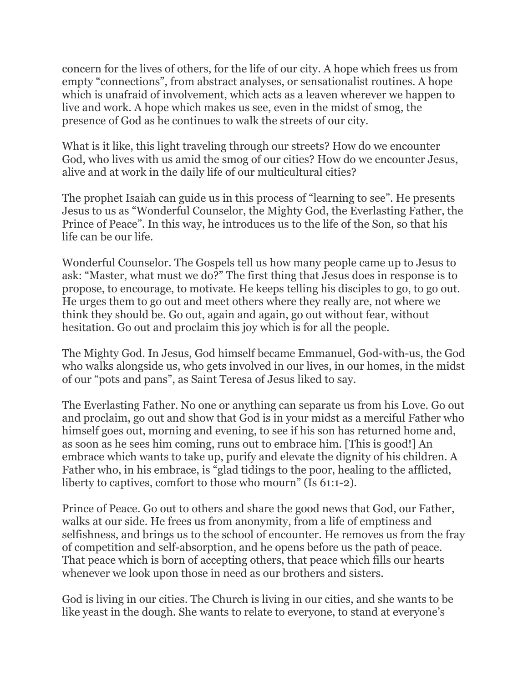concern for the lives of others, for the life of our city. A hope which frees us from empty "connections", from abstract analyses, or sensationalist routines. A hope which is unafraid of involvement, which acts as a leaven wherever we happen to live and work. A hope which makes us see, even in the midst of smog, the presence of God as he continues to walk the streets of our city.

What is it like, this light traveling through our streets? How do we encounter God, who lives with us amid the smog of our cities? How do we encounter Jesus, alive and at work in the daily life of our multicultural cities?

The prophet Isaiah can guide us in this process of "learning to see". He presents Jesus to us as "Wonderful Counselor, the Mighty God, the Everlasting Father, the Prince of Peace". In this way, he introduces us to the life of the Son, so that his life can be our life.

Wonderful Counselor. The Gospels tell us how many people came up to Jesus to ask: "Master, what must we do?" The first thing that Jesus does in response is to propose, to encourage, to motivate. He keeps telling his disciples to go, to go out. He urges them to go out and meet others where they really are, not where we think they should be. Go out, again and again, go out without fear, without hesitation. Go out and proclaim this joy which is for all the people.

The Mighty God. In Jesus, God himself became Emmanuel, God-with-us, the God who walks alongside us, who gets involved in our lives, in our homes, in the midst of our "pots and pans", as Saint Teresa of Jesus liked to say.

The Everlasting Father. No one or anything can separate us from his Love. Go out and proclaim, go out and show that God is in your midst as a merciful Father who himself goes out, morning and evening, to see if his son has returned home and, as soon as he sees him coming, runs out to embrace him. [This is good!] An embrace which wants to take up, purify and elevate the dignity of his children. A Father who, in his embrace, is "glad tidings to the poor, healing to the afflicted, liberty to captives, comfort to those who mourn" (Is 61:1-2).

Prince of Peace. Go out to others and share the good news that God, our Father, walks at our side. He frees us from anonymity, from a life of emptiness and selfishness, and brings us to the school of encounter. He removes us from the fray of competition and self-absorption, and he opens before us the path of peace. That peace which is born of accepting others, that peace which fills our hearts whenever we look upon those in need as our brothers and sisters.

God is living in our cities. The Church is living in our cities, and she wants to be like yeast in the dough. She wants to relate to everyone, to stand at everyone's